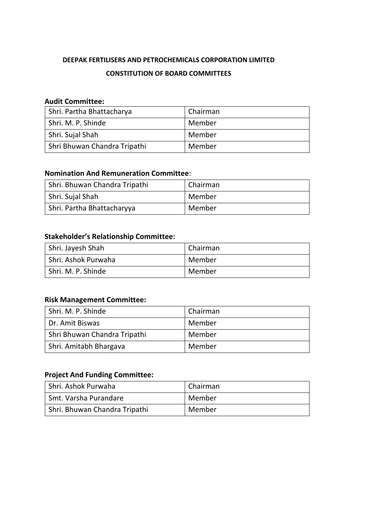# **DEEPAK FERTILISERS AND PETROCHEMICALS CORPORATION LIMITED CONSTITUTION OF BOARD COMMITTEES**

## **Audit Committee:**

| Shri. Partha Bhattacharya    | Chairman |
|------------------------------|----------|
| Shri. M. P. Shinde           | Member   |
| Shri. Sujal Shah             | Member   |
| Shri Bhuwan Chandra Tripathi | Member   |

### **Nomination And Remuneration Committee**:

| Shri. Bhuwan Chandra Tripathi | Chairman |
|-------------------------------|----------|
| Shri. Sujal Shah              | Member   |
| Shri. Partha Bhattacharyya    | Member   |

### **Stakeholder's Relationship Committee:**

| Shri. Jayesh Shah     | Chairman |
|-----------------------|----------|
| l Shri. Ashok Purwaha | Member   |
| Shri. M. P. Shinde    | Member   |

### **Risk Management Committee:**

| I Shri. M. P. Shinde         | Chairman |
|------------------------------|----------|
| Dr. Amit Biswas              | Member   |
| Shri Bhuwan Chandra Tripathi | Member   |
| Shri. Amitabh Bhargava       | Member   |

#### **Project And Funding Committee:**

| Shri. Ashok Purwaha           | Chairman |
|-------------------------------|----------|
| Smt. Varsha Purandare         | Member   |
| Shri. Bhuwan Chandra Tripathi | Member   |